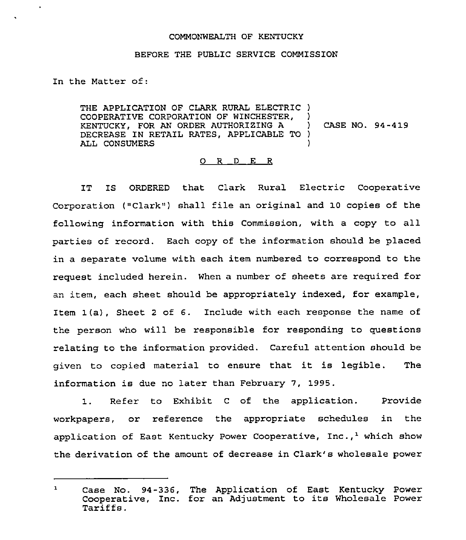## COMMONWEALTH OF KENTUCKY

## BEFORE THE PUBLIC SERVICE COMMISSION

In the Matter of:

 $\bullet$ 

THE APPLICATION OF CLARK RURAL ELECTRIC ) COOPERATIVE CORPORATION OF WINCHESTER, )<br>KENTUCKY. FOR AN ORDER AUTHORIZING A KENTUCKY, FOR AN ORDER AUTHORIZING A DECREASE IN RETAIL RATES, APPLICABLE TO )<br>ALL CONSUMERS ALL CONSUMERS CASE NO. 94-419

## 0 <sup>R</sup> <sup>D</sup> E <sup>R</sup>

IT IS ORDERED that Clark Rural Electric Cooperative Corporation ("Clark") shall file an original and 10 copies of the following information with this Commission, with a copy to all parties of record. Each copy of the information should be placed in a separate volume with each item numbered to correspond to the request included herein. When a number of sheets are required for an item, each sheet should be appropriately indexed, for example, Item 1(a), Sheet <sup>2</sup> of 6. Include with each response the name of the person who will be responsible for responding to questions relating to the information provided. Careful attention should be given to copied material to ensure that it is legible. The information is due no later than February 7, 1995.

1. Refer to Exhibit <sup>C</sup> of the application. Provide workpapers, or reference the appropriate schedules in the application of East Kentucky Power Cooperative, Inc.,<sup>1</sup> which show the derivation of the amount of decrease in Clark's wholesale power

 $\mathbf{1}$ Case No. 94-336, The Application of East Kentucky Power Cooperative, Inc. for an Adjustment to its Wholesale Power Tariffs.